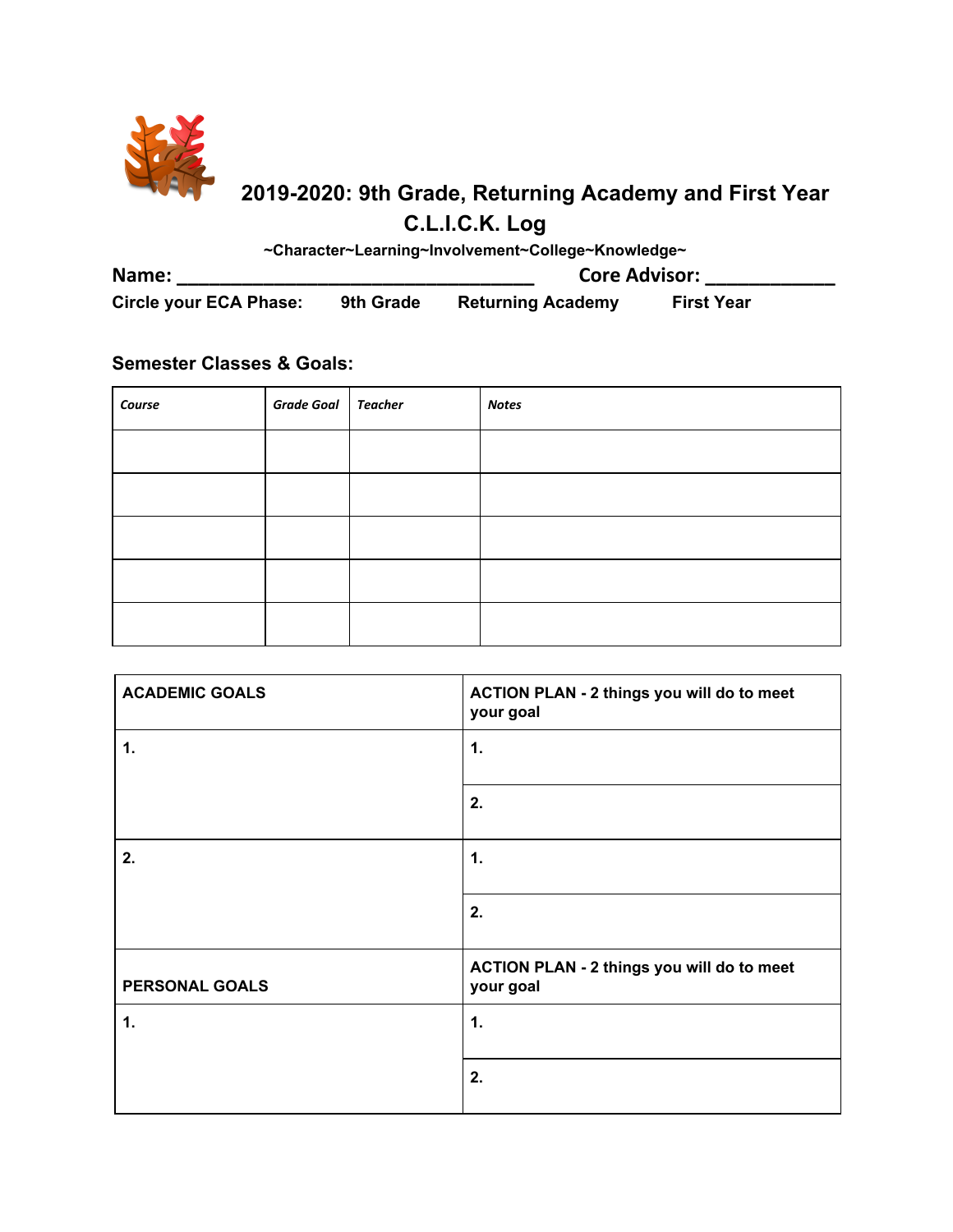

# **2019-2020: 9th Grade, Returning Academy and First Year C.L.I.C.K. Log**

**~Character~Learning~Involvement~College~Knowledge~**

| Name:                         |           | <b>Core Advisor:</b>     |                   |
|-------------------------------|-----------|--------------------------|-------------------|
| <b>Circle your ECA Phase:</b> | 9th Grade | <b>Returning Academy</b> | <b>First Year</b> |

### **Semester Classes & Goals:**

| Course | Grade Goal Teacher | <b>Notes</b> |
|--------|--------------------|--------------|
|        |                    |              |
|        |                    |              |
|        |                    |              |
|        |                    |              |
|        |                    |              |

| <b>ACADEMIC GOALS</b> | ACTION PLAN - 2 things you will do to meet<br>your goal |
|-----------------------|---------------------------------------------------------|
| $\mathbf 1$ .         | $\mathbf 1$ .                                           |
|                       | 2.                                                      |
| 2.                    | 1.                                                      |
|                       | 2.                                                      |
| <b>PERSONAL GOALS</b> | ACTION PLAN - 2 things you will do to meet<br>your goal |
| $\mathbf 1$ .         | 1.                                                      |
|                       | 2.                                                      |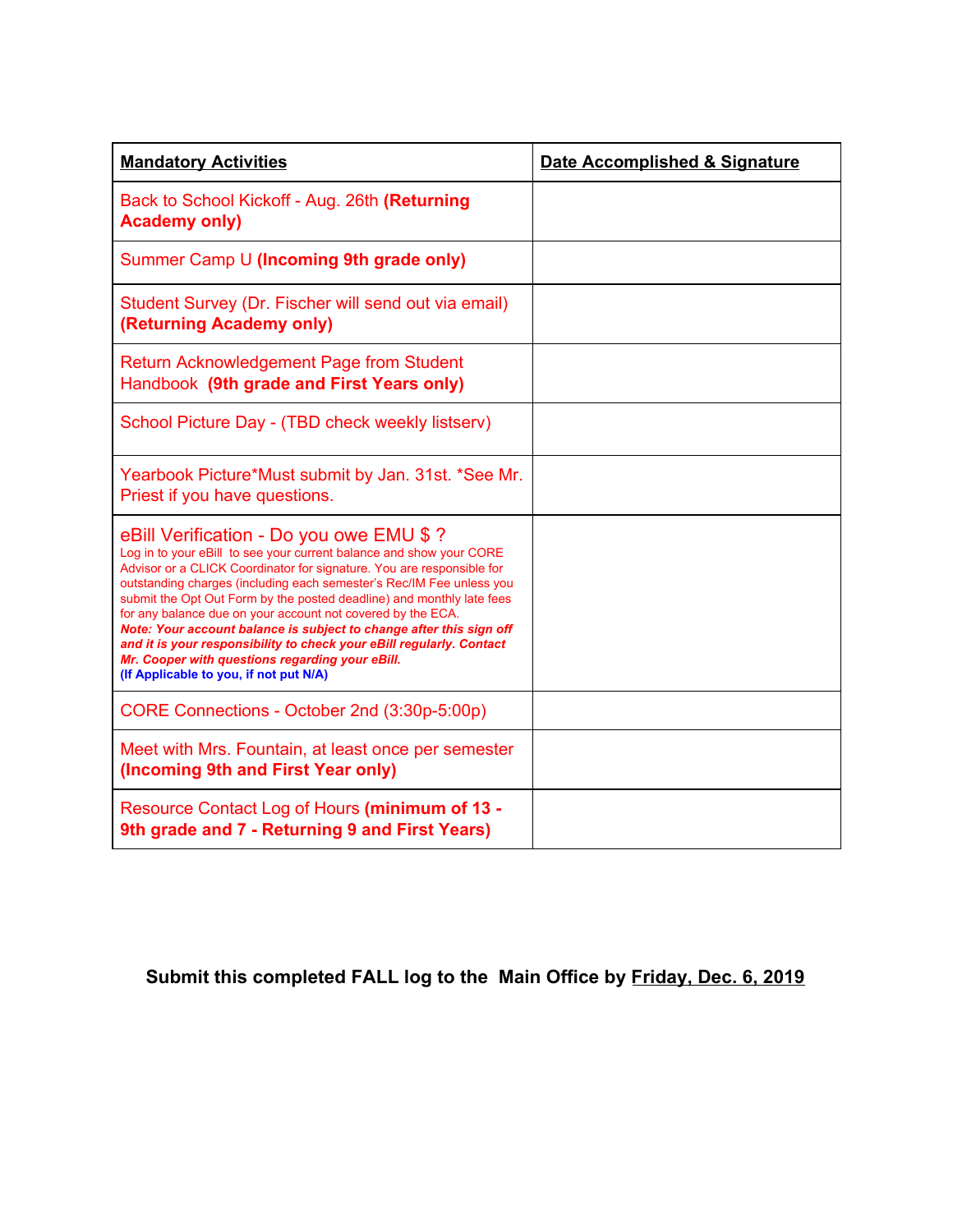| <b>Mandatory Activities</b>                                                                                                                                                                                                                                                                                                                                                                                                                                                                                                                                                                                                                          | Date Accomplished & Signature |
|------------------------------------------------------------------------------------------------------------------------------------------------------------------------------------------------------------------------------------------------------------------------------------------------------------------------------------------------------------------------------------------------------------------------------------------------------------------------------------------------------------------------------------------------------------------------------------------------------------------------------------------------------|-------------------------------|
| Back to School Kickoff - Aug. 26th (Returning<br><b>Academy only)</b>                                                                                                                                                                                                                                                                                                                                                                                                                                                                                                                                                                                |                               |
| Summer Camp U (Incoming 9th grade only)                                                                                                                                                                                                                                                                                                                                                                                                                                                                                                                                                                                                              |                               |
| Student Survey (Dr. Fischer will send out via email)<br>(Returning Academy only)                                                                                                                                                                                                                                                                                                                                                                                                                                                                                                                                                                     |                               |
| Return Acknowledgement Page from Student<br>Handbook (9th grade and First Years only)                                                                                                                                                                                                                                                                                                                                                                                                                                                                                                                                                                |                               |
| School Picture Day - (TBD check weekly listserv)                                                                                                                                                                                                                                                                                                                                                                                                                                                                                                                                                                                                     |                               |
| Yearbook Picture*Must submit by Jan. 31st. *See Mr.<br>Priest if you have questions.                                                                                                                                                                                                                                                                                                                                                                                                                                                                                                                                                                 |                               |
| eBill Verification - Do you owe EMU \$ ?<br>Log in to your eBill to see your current balance and show your CORE<br>Advisor or a CLICK Coordinator for signature. You are responsible for<br>outstanding charges (including each semester's Rec/IM Fee unless you<br>submit the Opt Out Form by the posted deadline) and monthly late fees<br>for any balance due on your account not covered by the ECA.<br>Note: Your account balance is subject to change after this sign off<br>and it is your responsibility to check your eBill regularly. Contact<br>Mr. Cooper with questions regarding your eBill.<br>(If Applicable to you, if not put N/A) |                               |
| CORE Connections - October 2nd (3:30p-5:00p)                                                                                                                                                                                                                                                                                                                                                                                                                                                                                                                                                                                                         |                               |
| Meet with Mrs. Fountain, at least once per semester<br>(Incoming 9th and First Year only)                                                                                                                                                                                                                                                                                                                                                                                                                                                                                                                                                            |                               |
| Resource Contact Log of Hours (minimum of 13 -<br>9th grade and 7 - Returning 9 and First Years)                                                                                                                                                                                                                                                                                                                                                                                                                                                                                                                                                     |                               |

## **Submit this completed FALL log to the Main Office by Friday, Dec. 6, 2019**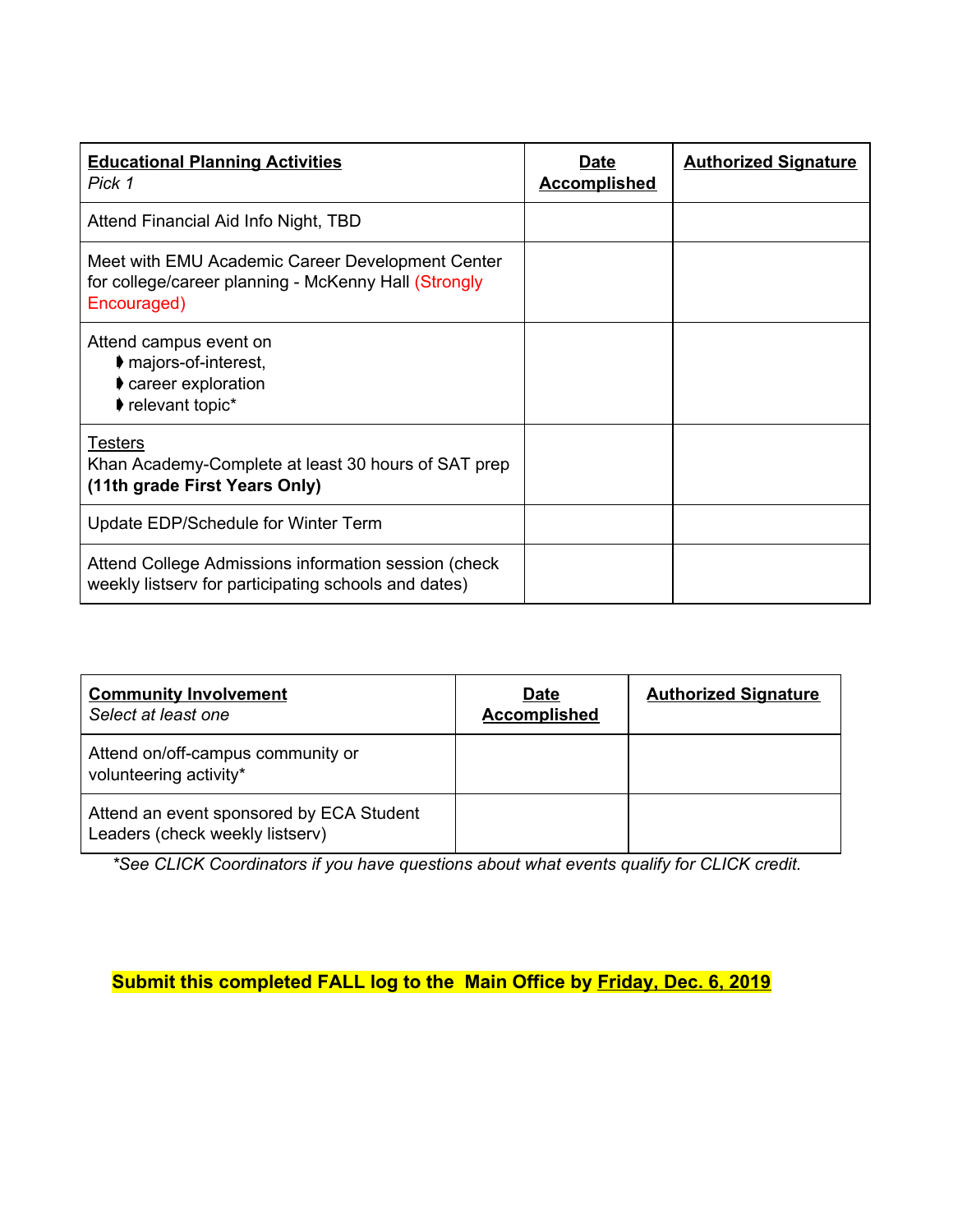| <b>Educational Planning Activities</b><br>Pick 1                                                                        | <b>Date</b><br><b>Accomplished</b> | <b>Authorized Signature</b> |
|-------------------------------------------------------------------------------------------------------------------------|------------------------------------|-----------------------------|
| Attend Financial Aid Info Night, TBD                                                                                    |                                    |                             |
| Meet with EMU Academic Career Development Center<br>for college/career planning - McKenny Hall (Strongly<br>Encouraged) |                                    |                             |
| Attend campus event on<br>♦ majors-of-interest,<br>career exploration<br>relevant topic*                                |                                    |                             |
| <b>Testers</b><br>Khan Academy-Complete at least 30 hours of SAT prep<br>(11th grade First Years Only)                  |                                    |                             |
| Update EDP/Schedule for Winter Term                                                                                     |                                    |                             |
| Attend College Admissions information session (check)<br>weekly listsery for participating schools and dates)           |                                    |                             |

| <b>Community Involvement</b><br>Select at least one                         | <b>Date</b><br><b>Accomplished</b> | <b>Authorized Signature</b> |
|-----------------------------------------------------------------------------|------------------------------------|-----------------------------|
| Attend on/off-campus community or<br>volunteering activity*                 |                                    |                             |
| Attend an event sponsored by ECA Student<br>Leaders (check weekly listserv) |                                    |                             |

*\*See CLICK Coordinators if you have questions about what events qualify for CLICK credit.*

**Submit this completed FALL log to the Main Office by Friday, Dec. 6, 2019**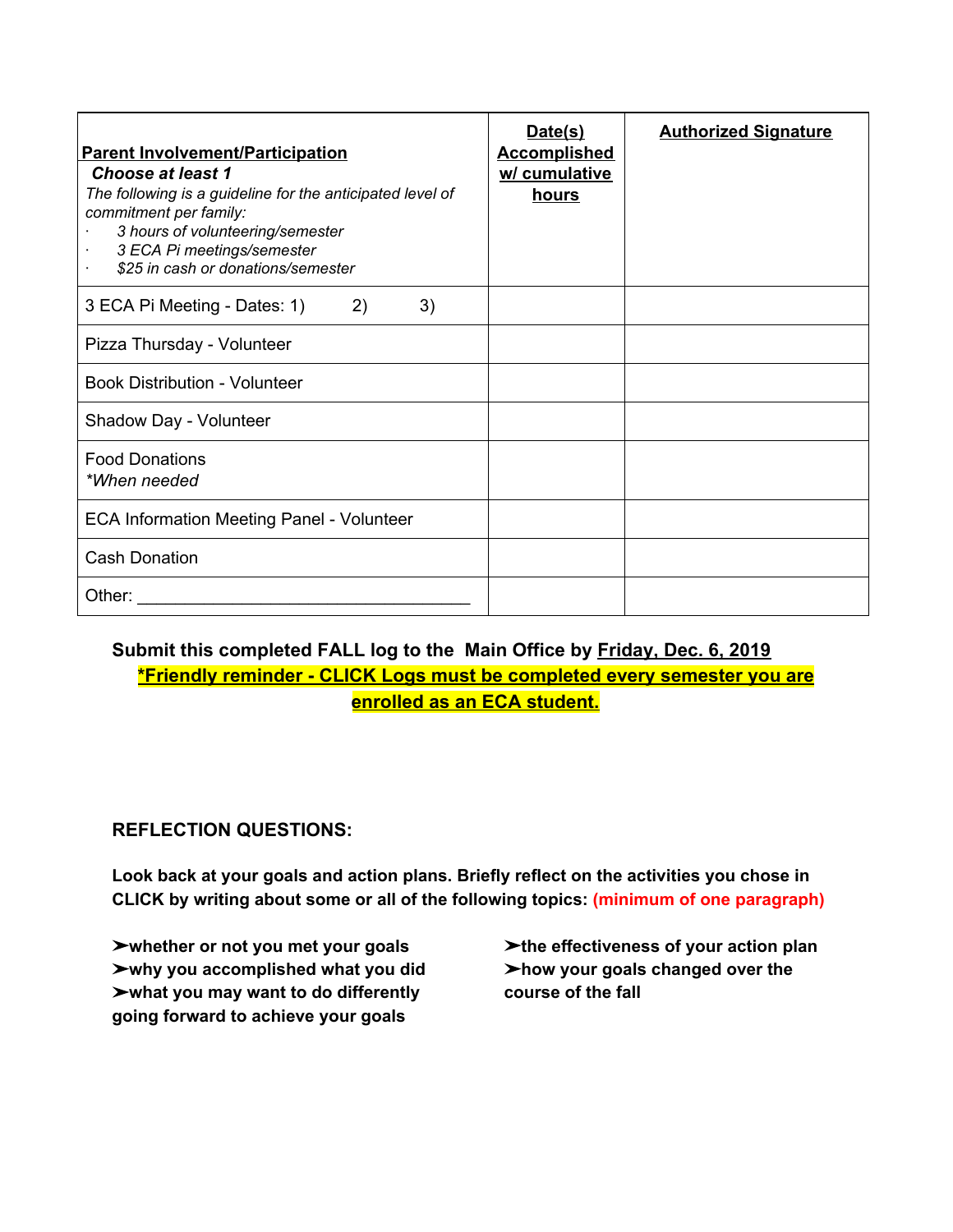| <b>Parent Involvement/Participation</b><br><b>Choose at least 1</b><br>The following is a guideline for the anticipated level of<br>commitment per family:<br>3 hours of volunteering/semester<br>3 ECA Pi meetings/semester<br>\$25 in cash or donations/semester | Date(s)<br><b>Accomplished</b><br>w/ cumulative<br><u>hours</u> | <b>Authorized Signature</b> |
|--------------------------------------------------------------------------------------------------------------------------------------------------------------------------------------------------------------------------------------------------------------------|-----------------------------------------------------------------|-----------------------------|
| 3 ECA Pi Meeting - Dates: 1)<br>2)<br>3)                                                                                                                                                                                                                           |                                                                 |                             |
| Pizza Thursday - Volunteer                                                                                                                                                                                                                                         |                                                                 |                             |
| <b>Book Distribution - Volunteer</b>                                                                                                                                                                                                                               |                                                                 |                             |
| Shadow Day - Volunteer                                                                                                                                                                                                                                             |                                                                 |                             |
| <b>Food Donations</b><br>*When needed                                                                                                                                                                                                                              |                                                                 |                             |
| <b>ECA Information Meeting Panel - Volunteer</b>                                                                                                                                                                                                                   |                                                                 |                             |
| <b>Cash Donation</b>                                                                                                                                                                                                                                               |                                                                 |                             |
| Other:                                                                                                                                                                                                                                                             |                                                                 |                             |

### **Submit this completed FALL log to the Main Office by Friday, Dec. 6, 2019 \*Friendly reminder - CLICK Logs must be completed every semester you are enrolled as an ECA student.**

#### **REFLECTION QUESTIONS:**

**Look back at your goals and action plans. Briefly reflect on the activities you chose in CLICK by writing about some or all of the following topics: (minimum of one paragraph)**

➤**whether or not you met your goals** ➤**why you accomplished what you did** ➤**what you may want to do differently going forward to achieve your goals**

➤**the effectiveness of your action plan** ➤**how your goals changed over the course of the fall**